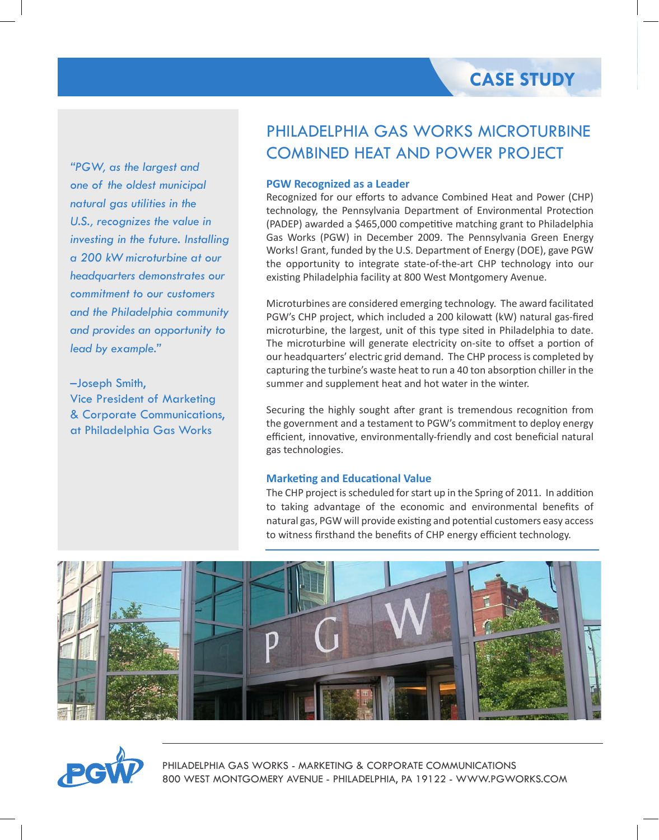*"PGW, as the largest and one of the oldest municipal natural gas utilities in the U.S., recognizes the value in investing in the future. Installing a 200 kW microturbine at our headquarters demonstrates our commitment to our customers and the Philadelphia community and provides an opportunity to lead by example."* 

–Joseph Smith, Vice President of Marketing & Corporate Communications, at Philadelphia Gas Works

# PHILADELPHIA GAS WORKS MICROTURBINE COMBINED HEAT AND POWER PROJECT

# **PGW Recognized as a Leader**

Recognized for our efforts to advance Combined Heat and Power (CHP) technology, the Pennsylvania Department of Environmental Protection (PADEP) awarded a \$465,000 competitive matching grant to Philadelphia Gas Works (PGW) in December 2009. The Pennsylvania Green Energy Works! Grant, funded by the U.S. Department of Energy (DOE), gave PGW the opportunity to integrate state-of-the-art CHP technology into our existing Philadelphia facility at 800 West Montgomery Avenue.

Microturbines are considered emerging technology. The award facilitated PGW's CHP project, which included a 200 kilowatt (kW) natural gas-fired microturbine, the largest, unit of this type sited in Philadelphia to date. The microturbine will generate electricity on-site to offset a portion of our headquarters' electric grid demand. The CHP process is completed by capturing the turbine's waste heat to run a 40 ton absorption chiller in the summer and supplement heat and hot water in the winter.

Securing the highly sought after grant is tremendous recognition from the government and a testament to PGW's commitment to deploy energy efficient, innovative, environmentally-friendly and cost beneficial natural gas technologies.

# **Marketing and Educational Value**

The CHP project is scheduled for start up in the Spring of 2011. In addition to taking advantage of the economic and environmental benefits of natural gas, PGW will provide existing and potential customers easy access to witness firsthand the benefits of CHP energy efficient technology.





PHILADELPHIA GAS WORKS - MARKETING & CORPORATE COMMUNICATIONS 800 WEST MONTGOMERY AVENUE - PHILADELPHIA, PA 19122 - WWW.PGWORKS.COM